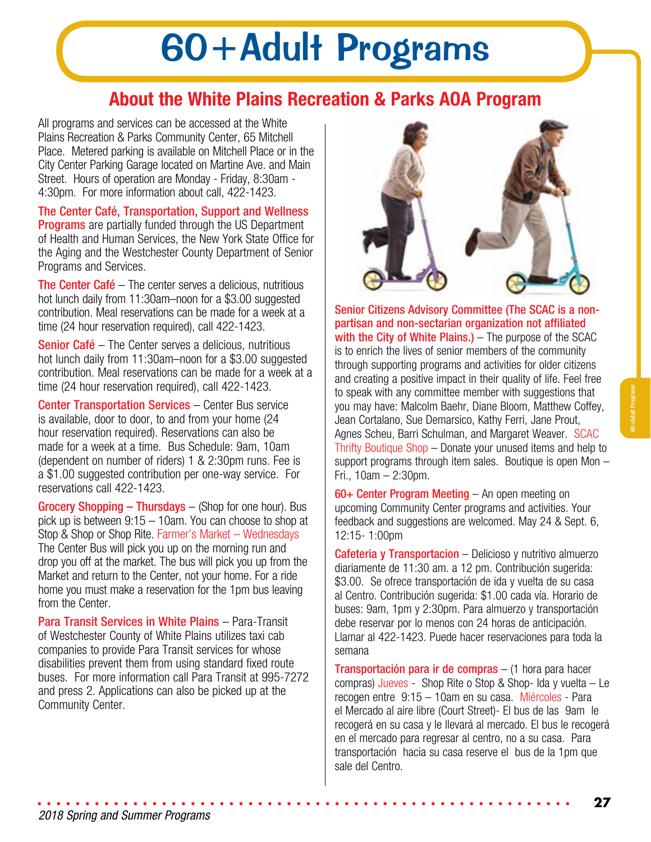# 60+Adult Programs

# **About the White Plains Recreation & Parks AOA Program**

All programs and services can be accessed at the White Plains Recreation & Parks Community Center, 65 Mitchell Place. Metered parking is available on Mitchell Place or in the City Center Parking Garage located on Martine Ave. and Main Street. Hours of operation are Monday - Friday, 8:30am - 4:30pm. For more information about call, 422-1423.

The Center Café, Transportation, Support and Wellness **Programs** are partially funded through the US Department of Health and Human Services, the New York State Office for the Aging and the Westchester County Department of Senior Programs and Services.

The Center Café – The center serves a delicious, nutritious hot lunch daily from 11:30am–noon for a \$3.00 suggested contribution. Meal reservations can be made for a week at a time (24 hour reservation required), call 422-1423.

Senior Café – The Center serves a delicious, nutritious hot lunch daily from 11:30am–noon for a \$3.00 suggested contribution. Meal reservations can be made for a week at a time (24 hour reservation required), call 422-1423.

**Center Transportation Services** – Center Bus service is available, door to door, to and from your home (24 hour reservation required). Reservations can also be made for a week at a time. Bus Schedule: 9am, 10am (dependent on number of riders) 1 & 2:30pm runs. Fee is a \$1.00 suggested contribution per one-way service. For reservations call 422-1423.

Grocery Shopping – Thursdays – (Shop for one hour). Bus pick up is between 9:15 – 10am. You can choose to shop at Stop & Shop or Shop Rite. Farmer's Market – Wednesdays The Center Bus will pick you up on the morning run and drop you off at the market. The bus will pick you up from the Market and return to the Center, not your home. For a ride home you must make a reservation for the 1pm bus leaving from the Center.

Para Transit Services in White Plains – Para-Transit of Westchester County of White Plains utilizes taxi cab companies to provide Para Transit services for whose disabilities prevent them from using standard fixed route buses. For more information call Para Transit at 995-7272 and press 2. Applications can also be picked up at the Community Center.



Senior Citizens Advisory Committee (The SCAC is a nonpartisan and non-sectarian organization not affiliated with the City of White Plains.) – The purpose of the SCAC is to enrich the lives of senior members of the community through supporting programs and activities for older citizens and creating a positive impact in their quality of life. Feel free to speak with any committee member with suggestions that you may have: Malcolm Baehr, Diane Bloom, Matthew Coffey, Jean Cortalano, Sue Demarsico, Kathy Ferri, Jane Prout, Agnes Scheu, Barri Schulman, and Margaret Weaver. SCAC Thrifty Boutique Shop – Donate your unused items and help to support programs through item sales. Boutique is open Mon – Fri., 10am – 2:30pm.

60+ Center Program Meeting – An open meeting on upcoming Community Center programs and activities. Your feedback and suggestions are welcomed. May 24 & Sept. 6, 12:15- 1:00pm

Cafeteria y Transportacion – Delicioso y nutritivo almuerzo diariamente de 11:30 am. a 12 pm. Contribución sugerida: \$3.00. Se ofrece transportación de ida y vuelta de su casa al Centro. Contribución sugerida: \$1.00 cada vía. Horario de buses: 9am, 1pm y 2:30pm. Para almuerzo y transportación debe reservar por lo menos con 24 horas de anticipación. Llamar al 422-1423. Puede hacer reservaciones para toda la semana

Transportación para ir de compras – (1 hora para hacer compras) Jueves - Shop Rite o Stop & Shop- Ida y vuelta – Le recogen entre 9:15 – 10am en su casa. Miércoles - Para el Mercado al aire libre (Court Street)- El bus de las 9am le recogerá en su casa y le llevará al mercado. El bus le recogerá en el mercado para regresar al centro, no a su casa. Para transportación hacia su casa reserve el bus de la 1pm que sale del Centro.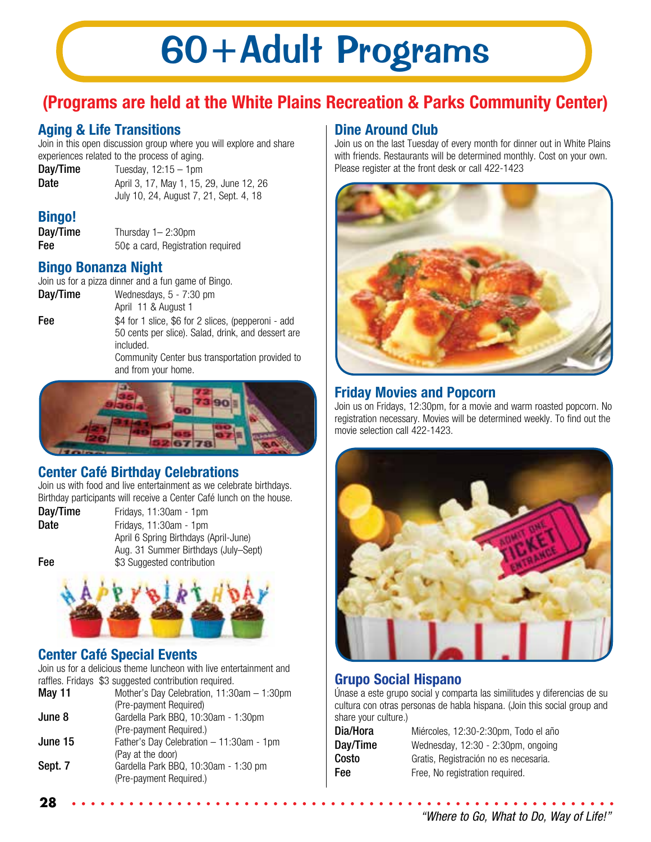# 60+Adult Programs

# **(Programs are held at the White Plains Recreation & Parks Community Center)**

# **Aging & Life Transitions**

Join in this open discussion group where you will explore and share experiences related to the process of aging.

 $Day/Time$  Tuesday,  $12:15 - 1$ pm

**Date April 3, 17, May 1, 15, 29, June 12, 26** July 10, 24, August 7, 21, Sept. 4, 18

## **Bingo!**

**Day/Time** Thursday 1– 2:30pm Fee 50¢ a card, Registration required

### **Bingo Bonanza Night**

Join us for a pizza dinner and a fun game of Bingo.

Day/Time Wednesdays, 5 - 7:30 pm April 11 & August 1 **Fee**  $$4$  for 1 slice, \$6 for 2 slices, (pepperoni - add 50 cents per slice). Salad, drink, and dessert are included. Community Center bus transportation provided to

and from your home.



# **Center Café Birthday Celebrations**

Join us with food and live entertainment as we celebrate birthdays. Birthday participants will receive a Center Café lunch on the house.

Day/Time Fridays, 11:30am - 1pm Date Fridays, 11:30am - 1pm April 6 Spring Birthdays (April-June) Aug. 31 Summer Birthdays (July–Sept) Fee  $$3$  Suggested contribution



### **Center Café Special Events**

**28**

Join us for a delicious theme luncheon with live entertainment and raffles. Fridays \$3 suggested contribution required.

|         | ramoo, maayo wo oaggootoa oommoduon roqanoa. |
|---------|----------------------------------------------|
| May 11  | Mother's Day Celebration, 11:30am - 1:30pm   |
|         | (Pre-payment Required)                       |
| June 8  | Gardella Park BBQ, 10:30am - 1:30pm          |
|         | (Pre-payment Required.)                      |
| June 15 | Father's Day Celebration - 11:30am - 1pm     |
|         | (Pay at the door)                            |
| Sept. 7 | Gardella Park BBQ, 10:30am - 1:30 pm         |
|         | (Pre-payment Required.)                      |
|         |                                              |

### **Dine Around Club**

Join us on the last Tuesday of every month for dinner out in White Plains with friends. Restaurants will be determined monthly. Cost on your own. Please register at the front desk or call 422-1423



### **Friday Movies and Popcorn**

Join us on Fridays, 12:30pm, for a movie and warm roasted popcorn. No registration necessary. Movies will be determined weekly. To find out the movie selection call 422-1423.



### **Grupo Social Hispano**

Únase a este grupo social y comparta las similitudes y diferencias de su cultura con otras personas de habla hispana. (Join this social group and share your culture.)

| Dia/Hora |  |
|----------|--|
| Day/Time |  |
| Costo    |  |
| Fee      |  |

Miércoles, 12:30-2:30pm, Todo el año Wednesday, 12:30 - 2:30pm, ongoing Gratis, Registración no es necesaria. Free, No registration required.